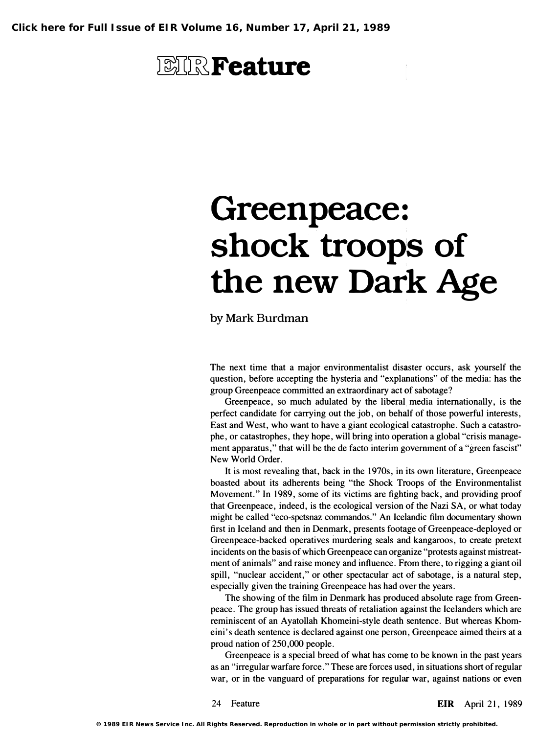## **EIR** Feature

# Greenpeace: shock troops of the new Dark Age

by Mark Burdman

The next time that a major environmentalist disaster occurs, ask yourself the question, before accepting the hysteria and "explanations" of the media: has the group Greenpeace committed an extraordinary act of sabotage?

Greenpeace, so much adulated by the liberal media internationally, is the perfect candidate for carrying out the job, on behalf of those powerful interests, East and West, who want to have a giant ecological catastrophe. Such a catastrophe, or catastrophes, they hope, will bring into operation a global "crisis management apparatus," that will be the de facto interim government of a "green fascist" New World Order.

It is most revealing that, back in the 1970s, in its own literature, Greenpeace boasted about its adherents being "the Shock Troops of the Environmentalist Movement." In 1989, some of its victims are fighting back, and providing proof that Greenpeace, indeed, is the ecological version of the Nazi SA, or what today might be called "eco-spetsnaz commandos." An Icelandic film documentary shown first in Iceland and then in Denmark, presents footage of Greenpeace-deployed or Greenpeace-backed operatives murdering seals and kangaroos, to create pretext incidents on the basis of which Greenpeace can organize "protests against mistreatment of animals" and raise money and influence. From there, to rigging a giant oil spill, "nuclear accident," or other spectacular act of sabotage, is a natural step, especially given the training Greenpeace has had over the years.

The showing of the film in Denmark has produced absolute rage from Greenpeace. The group has issued threats of retaliation against the Icelanders which are reminiscent of an Ayatollah Khomeini-style death sentence. But whereas Khomeini's death sentence is declared against one person, Greenpeace aimed theirs at a proud nation of 250,000 people.

Greenpeace is a special breed of what has come to be known in the past years as an "irregular warfare force. " These are forces used, in situations short of regular war, or in the vanguard of preparations for regular war, against nations or even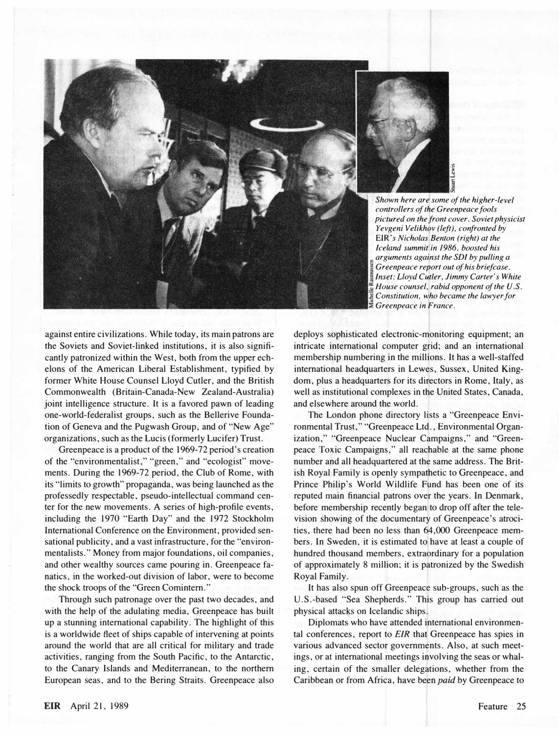

. Shown here are some of the higher-level controllers of the Greenpeace fools pictured on the front cover. Soviet physicist Yevgeni Velikhov (left), confronted by EIR's Nicholas Benton (right) at the Iceland summit in 1986, boosted his arguments against the SDI by pulling a Greenpeace report out of his briefcase. Inset: Lloyd Cutler, Jimmy Carter's White House counsel, rabid opponent of the U.S. Constitution, who became the lawyer for **E** Greenpeace in France.

against entire civilizations. While today, its main patrons are the Soviets and Soviet-linked institutions, it is also significantly patronized within the West, both from the upper echelons of the American Liberal Establishment, typified by former White House Counsel Lloyd Cutler, and the British Commonwealth (Britain-Canada-New Zealand-Australia) joint intelligence structure. It is a favored pawn of leading one-world-federalist groups, such as the Bellerive Foundation of Geneva and the Pugwash Group, and of "New Age" organizations, such as the Lucis (formerly Lucifer) Trust.

Greenpeace is a product of the 1969-72 period's creation of the "environmentalist," "green," and "ecologist" movements. During the 1969-72 period, the Club of Rome, with its "limits to growth" propaganda, was being launched as the professedly respectable, pseudo-intellectual command center for the new movements. A series of high-profile events, including the 1970 "Earth Day" and the 1972 Stockholm International Conference on the Environment, provided sensational publicity, and a vast infrastructure, for the "environmentalists." Money from major foundations, oil companies, and other wealthy sources came pouring in. Greenpeace fanatics, in the worked-out division of labor, were to become the shock troops of the "Green Comintern."

Through such patronage over the past two decades, and with the help of the adulating media, Greenpeace has built up a stunning international capability. The highlight of this is a worldwide fleet of ships capable of intervening at points around the world that are all critical for military and trade activities, ranging from the South Pacific, to the Antarctic, to the Canary Islands and Mediterranean, to the northern European seas, and to the Bering Straits. Greenpeace also

deploys sophisticated electronic-monitoring equipment; an intricate international computer grid; and an international membership numbering in the millions. It has a well-staffed international headquarters in Lewes, Sussex, United Kingdom, plus a headquarters for its directors in Rome, Italy, as well as institutional complexes in the United States, Canada, and elsewhere around the world.

The London phone directory lists a "Greenpeace Environmental Trust," "Greenpeace Ltd., Environmental Organization," "Greenpeace Nuclear Campaigns," and "Greenpeace Toxic Campaigns," all reachable at the same phone number and all headquartered at the same address. The British Royal Family is openly sympathetic to Greenpeace, and Prince Philip's World Wildlife Fund has been one of its reputed main financial patrons over the years. In Denmark, before membership recently began to drop off after the television showing of the documentary of Greenpeace's atrocities, there had been no less than 64,000 Greenpeace members. In Sweden, it is estimated to have at least a couple of hundred thousand members, extraordinary for a population of approximately 8 million; it is patronized by the Swedish Royal Family.

It has also spun off Greenpeace sub-groups, such as the U.S.-based "Sea Shepherds." This group has carried out physical attacks on Icelandic ships.

Diplomats who have attended international environmental conferences, report to EIR that Greenpeace has spies in various advanced sector governments. Also, at such meetings, or at international meetings involving the seas or whaling, certain of the smaller delegations, whether from the Caribbean or from Africa, have been paid by Greenpeace to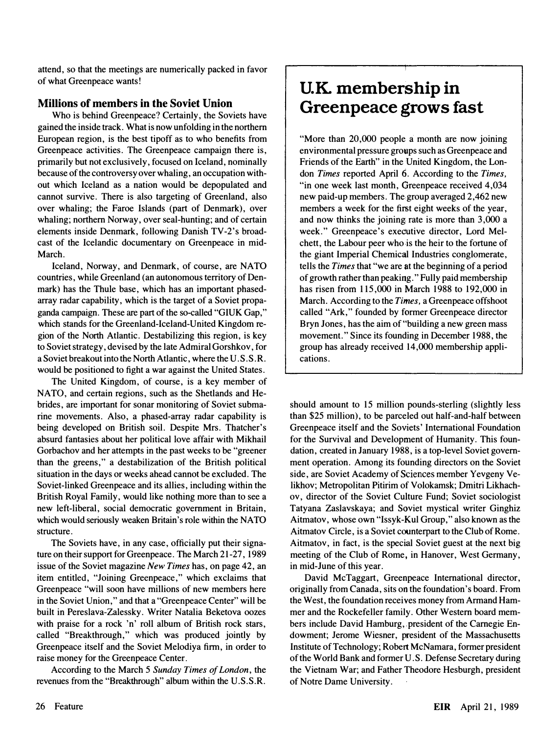attend, so that the meetings are numerically packed in favor of what Greenpeace wants!

### Millions of members in the Soviet Union

Who is behind Greenpeace? Certainly, the Soviets have gained the inside track. What is now unfolding in the northern European region, is the best tipoff as to who benefits from Greenpeace activities. The Greenpeace campaign there is, primarily but not exclusively, focused on Iceland, nominally because of the controversy over whaling, an occupation without which Iceland as a nation would be depopulated and cannot survive. There is also targeting of Greenland, also over whaling; the Faroe Islands (part of Denmark), over whaling; northern Norway, over seal-hunting; and of certain elements inside Denmark, following Danish TV-2's broadcast of the Icelandic documentary on Greenpeace in mid-March.

Iceland, Norway, and Denmark, of course, are NATO countries, while Greenland (an autonomous territory of Denmark) has the Thule base, which has an important phasedarray radar capability, which is the target of a Soviet propaganda campaign. These are part of the so-called "GIUK Gap," which stands for the Greenland-Iceland-United Kingdom region of the North Atlantic. Destabilizing this region, is key to Soviet strategy, devised by the late Admiral Gorshkov, for a Soviet breakout into the North Atlantic, where the U. S. S. R. would be positioned to fight a war against the United States.

The United Kingdom, of course, is a key member of NATO, and certain regions, such as the Shetlands and Hebrides, are important for sonar monitoring of Soviet submarine movements. Also, a phased-array radar capability is being developed on British soil. Despite Mrs. Thatcher's absurd fantasies about her political love affair with Mikhail Gorbachov and her attempts in the past weeks to be "greener than the greens," a destabilization of the British political situation in the days or weeks ahead cannot be excluded. The Soviet-linked Greenpeace and its allies, including within the British Royal Family, would like nothing more than to see a new left-liberal, social democratic government in Britain, which would seriously weaken Britain's role within the NATO structure.

The Soviets have, in any case, officially put their signature on their support for Greenpeace. The March 21-27, 1989 issue of the Soviet magazine New Times has, on page 42, an item entitled, "Joining Greenpeace," which exclaims that Greenpeace "will soon have millions of new members here in the Soviet Union," and that a "Greenpeace Center" will be built in Pereslava-Zalessky. Writer Natalia Beketova oozes with praise for a rock 'n' roll album of British rock stars, called "Breakthrough," which was produced jointly by Greenpeace itself and the Soviet Melodiya firm, in order to raise money for the Greenpeace Center.

According to the March 5 Sunday Times of London, the revenues from the "Breakthrough" album within the U.S. S. R.

### U.K. membership in Greenpeace grows fast

"More than 20,000 people a month are now joining environmental pressure groups such as Greenpeace and Friends of the Earth" in the United Kingdom, the London Times reported April 6. According to the Times, "in one week last month, Greenpeace received 4,034 new paid-Up members. The group averaged 2,462 new members a week for the first eight weeks of the year, and now thinks the joining rate is more than 3,000 a week." Greenpeace's executive director, Lord Melchett, the Labour peer who is the heir to the fortune of the giant Imperial Chemical Industries conglomerate, tells the Times that "we are at the beginning of a period of growth rather than peaking. " Fully paid membership has risen from 115,000 in March 1988 to 192,000 in March. According to the Times, a Greenpeace offshoot called "Ark," founded by former Greenpeace director Bryn Jones, has the aim of "building a new green mass movement. " Since its founding in December 1988, the group has already received 14,000 membership applications.

should amount to 15 million pounds-sterling (slightly less than \$25 million), to be parceled out half-and-half between Greenpeace itself and the Soviets' International Foundation for the Survival and Development of Humanity. This foundation, created in January 1988, is a top-level Soviet government operation. Among its founding directors on the Soviet side, are Soviet Academy of Sciences member Yevgeny Velikhov; Metropolitan Pitirim of Volokamsk; Dmitri Likhachov, director of the Soviet Culture Fund; Soviet sociologist Tatyana Zaslavskaya; and Soviet mystical writer Ginghiz Aitmatov, whose own "Issyk-Kul Group," also known as the Aitmatov Circle, is a Soviet counterpart to the Club of Rome. Aitmatov, in fact, is the special Soviet guest at the next big meeting of the Club of Rome, in Hanover, West Germany, in mid-June of this year.

David McTaggart, Greenpeace International director, originally from Canada, sits on the foundation's board. From the West, the foundation receives money from Armand Hammer and the Rockefeller family. Other Western board members include David Hamburg, president of the Carnegie Endowment; Jerome Wiesner, president of the Massachusetts Institute of Technology; Robert McNamara, former president of the World Bank and former U. S. Defense Secretary during the Vietnam War; and Father Theodore Hesburgh, president of Notre Dame University.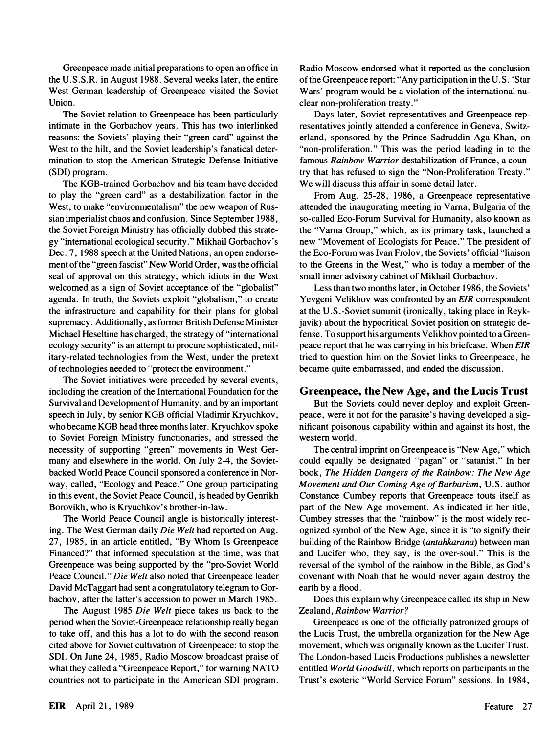Greenpeace made initial preparations to open an office in the U.S.S.R. in August 1988. Several weeks later, the entire West German leadership of Greenpeace visited the Soviet Union.

The Soviet relation to Greenpeace has been particularly intimate in the Gorbachov years. This has two interlinked reasons: the Soviets' playing their "green card" against the West to the hilt, and the Soviet leadership's fanatical determination to stop the American Strategic Defense Initiative (SDI) program.

The KGB-trained Gorbachov and his team have decided to play the "green card" as a destabilization factor in the West, to make "environmentalism" the new weapon of Russian imperialist chaos and confusion. Since September 1988, the Soviet Foreign Ministry has officially dubbed this strategy "international ecological security." Mikhail Gorbachov' s Dec. 7, 1988 speech at the United Nations, an open endorsement of the "green fascist" New World Order, was the official seal of approval on this strategy, which idiots in the West welcomed as a sign of Soviet acceptance of the "globalist" agenda. In truth, the Soviets exploit "globalism," to create the infrastructure and capability for their plans for global supremacy. Additionally, as former British Defense Minister Michael Heseltine has charged, the strategy of "international ecology security" is an attempt to procure sophisticated, military-related technologies from the West, under the pretext of technologies needed to "protect the environment."

The Soviet initiatives were preceded by several events, including the creation of the International Foundation for the Survival and Development of Humanity , and by an important speech in July, by senior KGB official Vladimir Kryuchkov, who became KGB head three months later. Kryuchkov spoke to Soviet Foreign Ministry functionaries, and stressed the necessity of supporting "green" movements in West Germany and elsewhere in the world. On July 2-4, the Sovietbacked World Peace Council sponsored a conference in Norway, called, "Ecology and Peace." One group participating in this event, the Soviet Peace Council, is headed by Genrikh Borovikh, who is Kryuchkov's brother-in-law.

The World Peace Council angle is historically interesting. The West German daily Die Welt had reported on Aug. 27, 1985, in an article entitled, "By Whom Is Greenpeace Financed?" that informed speculation at the time, was that Greenpeace was being supported by the "pro-Soviet World Peace Council." Die Welt also noted that Greenpeace leader David McTaggart had sent a congratulatory telegram to Gorbachov, after the latter's accession to power in March 1985 ..

The August 1985 Die Welt piece takes us back to the period when the Soviet-Greenpeace relationship really began to take off, and this has a lot to do with the second reason cited above for Soviet cultivation of Greenpeace: to stop the SDI. On June 24, 1985, Radio Moscow broadcast praise of what they called a "Greenpeace Report," for warning NATO countries not to participate in the American SDI program.

Radio Moscow endorsed what it reported as the conclusion of the Greenpeace report: "Any participation in the U . S. 'Star Wars' program would be a violation of the international nuclear non-proliferation treaty."

Days later, Soviet representatives and Greenpeace representatives jointly attended a conference in Geneva, Switzerland, sponsored by the Prince Sadruddin Aga Khan, on "non-proliferation." This was the period leading in to the famous Rainbow Warrior destabilization of France, a country that has refused to sign the "Non-Proliferation Treaty." We will discuss this affair in some detail later.

From Aug. 25-28, 1986, a Greenpeace representative attended the inaugurating meeting in Varna, Bulgaria of the so-called Eco-Forum Survival for Humanity, also known as the "Varna Group," which, as its primary task, launched a new "Movement of Ecologists for Peace." The president of the Eco-Forum was Ivan Frolov, the Soviets' official "liaison to the Greens in the West," who is today a member of the small inner advisory cabinet of Mikhail Gorbachov.

Less than two months later, in October 1986, the Soviets' Yevgeni Velikhov was confronted by an EIR correspondent at the U.S.-Soviet summit (ironically, taking place in Reykjavik) about the hypocritical Soviet position on strategic defense. To support his arguments Velikhov pointed to a Greenpeace report that he was carrying in his briefcase. When EIR tried to question him on the Soviet links to Greenpeace, he became quite embarrassed, and ended the discussion.

### Greenpeace, the New Age, and the Lucis Trust

But the Soviets could never deploy and exploit Greenpeace, were it not for the parasite's having developed a significant poisonous capability within and against its host, the western world.

The central imprint on Greenpeace is "New Age," which could equally be designated "pagan" or "satanist." In her book, The Hidden Dangers of the Rainbow: The New Age Movement and Our Coming Age of Barbarism, U.S. author Constance Cumbey reports that Greenpeace touts itself as part of the New Age movement. As indicated in her title, Cumbey stresses that the "rainbow" is the most widely recognized symbol of the New Age, since it is "to signify their building of the Rainbow Bridge (antahkarana) between man and Lucifer who, they say, is the over-soul." This is the reversal of the symbol of the rainbow in the Bible, as God's covenant with Noah that he would never again destroy the earth by a flood.

Does this explain why Greenpeace called its ship in New Zealand, Rainbow Warrior?

Greenpeace is one of the officially patronized groups of the Lucis Trust, the umbrella organization for the New Age movement, which was originally known as the Lucifer Trust. The London-based Lucis Productions publishes a newsletter entitled World Goodwill, which reports on participants in the Trust's esoteric "World Service Forum" sessions. In 1984,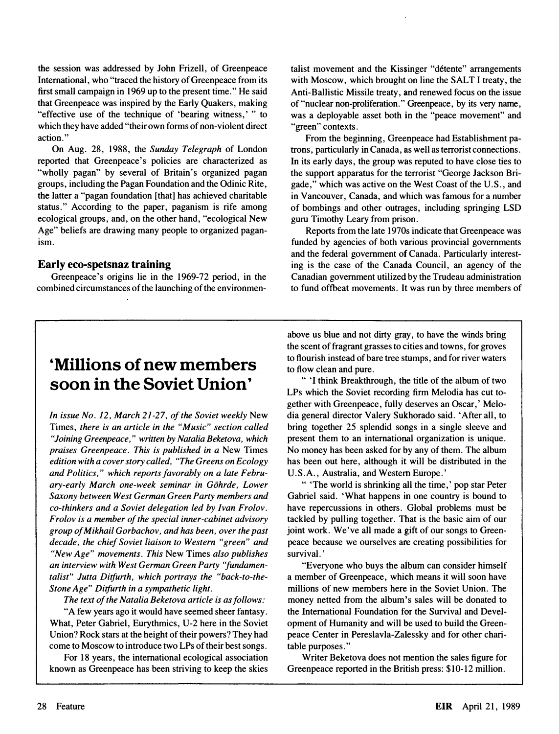the session was addressed by John Frizell, of Greenpeace International, who "traced the history of Greenpeace from its first small campaign in 1969 up to the present time." He said that Greenpeace was inspired by the Early Quakers, making "effective use of the technique of 'bearing witness,' " to which they have added "their own forms of non-violent direct action."

On Aug. 28, 1988, the Sunday Telegraph of London reported that Greenpeace's policies are characterized as "wholly pagan" by several of Britain's organized pagan groups, including the Pagan Foundation and the Odinic Rite, the latter a "pagan foundation [that] has achieved charitable status." According to the paper, paganism is rife among ecological groups, and, on the other hand, "ecological New Age" beliefs are drawing many people to organized paganism.

#### Early eco-spetsnaz training

Greenpeace's origins lie in the 1969-72 period, in the combined circumstances of the launching of the environmentalist movement and the Kissinger "detente" arrangements with Moscow, which brought on line the SALT I treaty, the Anti-Ballistic Missile treaty, and renewed focus on the issue of "nuclear non-proliferation." Greenpeace, by its very name, was a deployable asset both in the "peace movement" and "green" contexts.

From the beginning, Greenpeace had Establishment patrons, particularly in Canada, as well as terrorist connections. In its early days, the group was reputed to have close ties to the support apparatus for the terrorist "George Jackson Brigade," which was active on the West Coast of the U.S., and in Vancouver, Canada, and which was famous for a number of bombings and other outrages, including springing LSD guru Timothy Leary from prison.

Reports from the late 1970s indicate that Greenpeace was funded by agencies of both various provincial governments and the federal government of Canada. Particularly interesting is the case of the Canada Council, an agency of the Canadian government utilized by the Trudeau administration to fund offbeat movements. It was run by three members of

### 'Millions of new members soon in the Soviet Union'

In issue No. 12, March 21 -27, of the Soviet weekly New Times, there is an article in the "Music" section called "Joining Greenpeace," written by Natalia Beketova, which praises Greenpeace. This is published in a New Times edition with a cover story called, "The Greens on Ecology and Politics," which reports favorably on a late February-early March one-week seminar in Gohrde, Lower Saxony between West German Green Party members and co-thinkers and a Soviet delegation led by Ivan Frolov. Frolov is a member of the special inner-cabinet advisory group of Mikhail Gorbachov, and has been, over the past decade, the chief Soviet liaison to Western "green" and "New Age" movements. This New Times also publishes an interview with West German Green Party "fundamentalist" Jutta Ditfurth, which portrays the "back-to-the-Stone Age" Ditfurth in a sympathetic light.

The text of the Natalia Beketova article is as follows:

"A few years ago it would have seemed sheer fantasy. What, Peter Gabriel, Eurythmics, U-2 here in the Soviet Union? Rock stars at the height of their powers? They had come to Moscow to introduce two LPs of their best songs.

For 18 years, the international ecological association known as Greenpeace has been striving to keep the skies above us blue and not dirty gray, to have the winds bring the scent of fragrant grasses to cities and towns, for groves to flourish instead of bare tree stumps, and for river waters to flow clean and pure.

" 'I think Breakthrough, the title of the album of two LPs which the Soviet recording firm Melodia has cut together with Greenpeace, fully deserves an Oscar.' Melodia general director Valery Sukhorado said. 'After all, to bring together 25 splendid songs in a single sleeve and present them to an international organization is unique. No money has been asked for by any of them. The album has been out here, although it will be distributed in the U.S.A., Australia, and Western Europe.'

" 'The world is shrinking all the time,' pop star Peter Gabriel said. 'What happens in one country is bound to have repercussions in others. Global problems must be tackled by pulling together. That is the basic aim of our joint work. We've all made a gift of our songs to Greenpeace because we ourselves are creating possibilities for survival. '

"Everyone who buys the album can consider himself a member of Greenpeace, which means it will soon have millions of new members here in the Soviet Union. The money netted from the album's sales will be donated to the International Foundation for the Survival and Development of Humanity and will be used to build the Greenpeace Center in Pereslavla-Zalessky and for other charitable purposes."

Writer Beketova does not mention the sales figure for Greenpeace reported in the British press: \$10-12 million.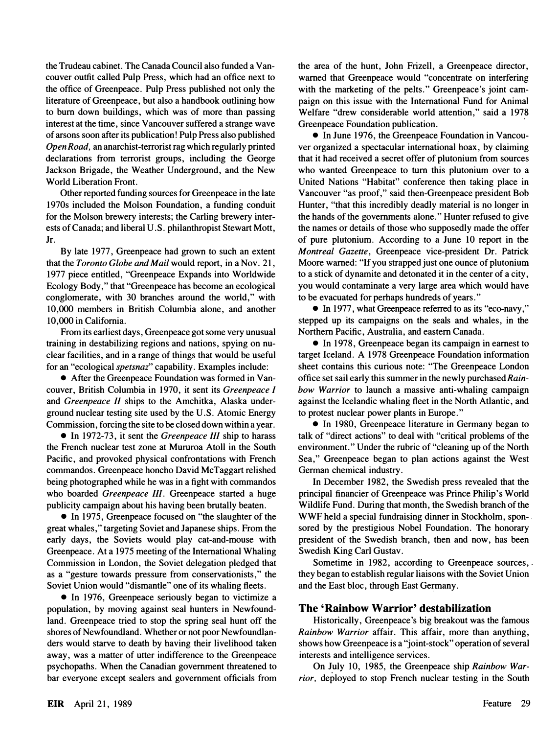the Trudeau cabinet. The Canada Council also funded a Vancouver outfit called Pulp Press, which had an office next to the office of Greenpeace. Pulp Press published not only the literature of Greenpeace, but also a handbook outlining how to bum down buildings, which was of more than passing interest at the time, since Vancouver suffered a strange wave of arsons soon after its publication! Pulp Press also published Open Road, an anarchist-terrorist rag which regularly printed declarations from terrorist groups, including the George Jackson Brigade, the Weather Underground, and the New World Liberation Front.

Other reported funding sources for Greenpeace in the late 1970s included the Molson Foundation, a funding conduit for the Molson brewery interests; the Carling brewery interests of Canada; and liberal U. S. philanthropist Stewart Mott, Jr.

By late 1977, Greenpeace had grown to such an extent that the Toronto Globe and Mail would report, in a Nov. 21, 1977 piece entitled, "Greenpeace Expands into Worldwide Ecology Body," that "Greenpeace has become an ecological conglomerate, with 30 branches around the world," with 10,000 members in British Columbia alone, and another 10,000 in California.

From its earliest days, Greenpeace got some very unusual training in destabilizing regions and nations, spying on nuclear facilities, and in a range of things that would be useful for an "ecological *spetsnaz*" capability. Examples include:

• After the Greenpeace Foundation was formed in Vancouver, British Columbia in 1970, it sent its Greenpeace I and Greenpeace II ships to the Amchitka, Alaska underground nuclear testing site used by the U. S. Atomic Energy Commission, forcing the site to be closed down within a year.

• In 1972-73, it sent the *Greenpeace III* ship to harass the French nuclear test zone at Mururoa Atoll in the South Pacific, and provoked physical confrontations with French commandos. Greenpeace honcho David McTaggart relished being photographed while he was in a fight with commandos who boarded Greenpeace III. Greenpeace started a huge pUblicity campaign about his having been brutally beaten.

• In 1975, Greenpeace focused on "the slaughter of the great whales," targeting Soviet and Japanese ships. From the early days, the Soviets would play cat-and-mouse with Greenpeace. At a 1975 meeting of the International Whaling Commission in London, the Soviet delegation pledged that as a "gesture towards pressure from conservationists," the Soviet Union would "dismantle" one of its whaling fleets.

• In 1976, Greenpeace seriously began to victimize a population, by moving against seal hunters in Newfoundland. Greenpeace tried to stop the spring seal hunt off the shores of Newfoundland. Whether or not poor Newfoundlanders would starve to death by having their livelihood taken away, was a matter of utter indifference to the Greenpeace psychopaths. When the Canadian government threatened to bar everyone except sealers and government officials from the area of the hunt, John Frizell, a Greenpeace director, warned that Greenpeace would "concentrate on interfering with the marketing of the pelts." Greenpeace's joint campaign on this issue with the International Fund for Animal Welfare "drew considerable world attention," said a 1978 Greenpeace Foundation publication.

• In June 1976, the Greenpeace Foundation in Vancouver organized a spectacular international hoax, by claiming that it had received a secret offer of plutonium from sources who wanted Greenpeace to tum this plutonium over to a United Nations "Habitat" conference then taking place in Vancouver "as proof," said then-Greenpeace president Bob Hunter, "that this incredibly deadly material is no longer in the hands of the governments alone." Hunter refused to give the names or details of those who supposedly made the offer of pure plutonium. According to a June 10 report in the Montreal Gazette, Greenpeace vice-president Dr. Patrick Moore warned: "If you strapped just one ounce of plutonium to a stick of dynamite and detonated it in the center of a city, you would contaminate a very large area which would have to be evacuated for perhaps hundreds of years. "

• In 1977, what Greenpeace referred to as its "eco-navy," stepped up its campaigns on the seals and whales, in the Northern Pacific, Australia, and eastern Canada.

• In 1978, Greenpeace began its campaign in earnest to target Iceland. A 1978 Greenpeace Foundation information sheet contains this curious note: "The Greenpeace London office set sail early this summer in the newly purchased Rainbow Warrior to launch a massive anti-whaling campaign against the Icelandic whaling fleet in the North Atlantic, and to protest nuclear power plants in Europe."

• In 1980, Greenpeace literature in Germany began to talk of "direct actions" to deal with "critical problems of the environment." Under the rubric of "cleaning up of the North Sea," Greenpeace began to plan actions against the West German chemical industry.

In December 1982, the Swedish press revealed that the principal financier of Greenpeace was Prince Philip's World Wildlife Fund. During that month, the Swedish branch of the WWF held a special fundraising dinner in Stockholm, spon- . sored by the prestigious Nobel Foundation. The honorary president of the Swedish branch, then and now, has been Swedish King Carl Gustav.

Sometime in 1982, according to Greenpeace sources, they began to establish regular liaisons with the Soviet Union and the East bloc, through East Germany.

### The 'Rainbow Warrior' destabilization

Historically, Greenpeace's big breakout was the famous Rainbow Warrior affair. This affair, more than anything, shows how Greenpeace is a "joint-stock" operation of several interests and intelligence services.

On July 10, 1985, the Greenpeace ship Rainbow Warrior, deployed to stop French nuclear testing in the South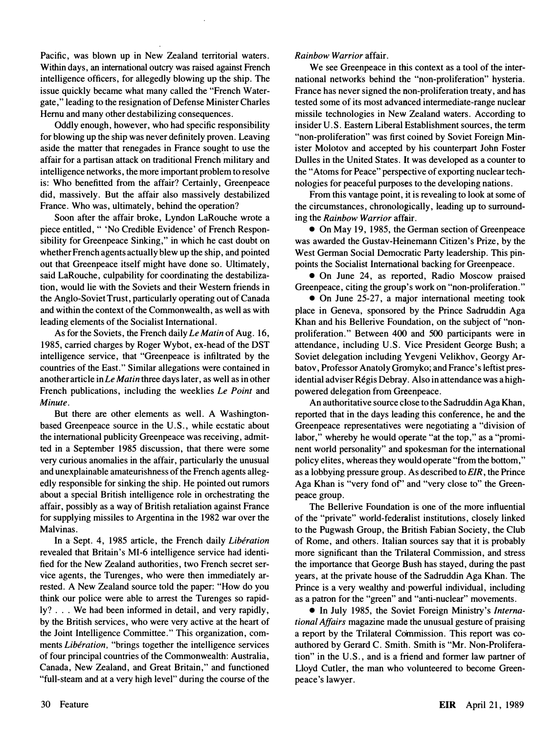Pacific, was blown up in New Zealand territorial waters. Within days, an international outcry was raised against French intelligence officers, for allegedly blowing up the ship. The issue quickly became what many called the "French Watergate, " leading to the resignation of Defense Minister Charles Hernu and many other destabilizing consequences.

Oddly enough, however, who had specific responsibility for blowing up the ship was never definitely proven. Leaving aside the matter that renegades in France sought to use the affair for a partisan attack on traditional French military and intelligence networks, the more important problem to resolve is: Who benefitted from the affair? Certainly, Greenpeace did, massively. But the affair also massively destabilized France. Who was, ultimately, behind the operation?

Soon after the affair broke, Lyndon LaRouche wrote a piece entitled, " 'No Credible Evidence' of French Responsibility for Greenpeace Sinking," in which he cast doubt on whether French agents actually blew up the ship, and pointed out that Greenpeace itself might have done so. Ultimately, said LaRouche, culpability for coordinating the destabilization, would lie with the Soviets and their Western friends in the Anglo-Soviet Trust, particularly operating out of Canada and within the context of the Commonwealth, as well as with leading elements of the Socialist International.

As for the Soviets, the French daily Le Matin of Aug. 16, 1985, carried charges by Roger Wybot, ex-head of the DST intelligence service, that "Greenpeace is infiltrated by the countries of the East." Similar allegations were contained in another article in  $Le$  Matin three days later, as well as in other French publications, including the weeklies Le Point and Minute.

But there are other elements as well. A Washingtonbased Greenpeace source in the U. S., while ecstatic about the international publicity Greenpeace was receiving, admitted in a September 1985 discussion, that there were some very curious anomalies in the affair, particularly the unusual and unexplainable amateurishness of the French agents allegedly responsible for sinking the ship. He pointed out rumors about a special British intelligence role in orchestrating the affair, possibly as a way of British retaliation against France for supplying missiles to Argentina in the 1982 war over the Malvinas.

In a Sept. 4, 1985 article, the French daily Libération revealed that Britain's MI-6 intelligence service had identified for the New Zealand authorities, two French secret service agents, the Turenges, who were then immediately arrested. A New Zealand source told the paper: "How do you think our police were able to arrest the Turenges so rapidly? ... We had been informed in detail, and very rapidly, by the British services, who were very active at the heart of the Joint Intelligence Committee." This organization, comments Libération, "brings together the intelligence services of four principal countries of the Commonwealth: Australia, Canada, New Zealand, and Great Britain," and functioned "full-steam and at a very high level" during the course of the

#### Rainbow Warrior affair.

We see Greenpeace in this context as a tool of the international networks behind the "non-proliferation" hysteria. France has never signed the non-proliferation treaty, and has tested some of its most advanced intermediate-range nuclear missile technologies in New Zealand waters. According to insider U.S. Eastern Liberal Establishment sources, the term "non-proliferation" was first coined by Soviet Foreign Minister Molotov and accepted by his counterpart John Foster Dulles in the United States. It was developed as a counter to the "Atoms for Peace" perspective of exporting nuclear technologies for peaceful purposes to the developing nations.

From this vantage point, it is revealing to look at some of the circumstances, chronologically, leading up to surrounding the Rainbow Warrior affair.

• On May 19, 1985, the German section of Greenpeace was awarded the Gustav-Heinemann Citizen's Prize, by the West German Social Democratic Party leadership. This pinpoints the Socialist International backing for Greenpeace.

• On June 24, as reported, Radio Moscow praised Greenpeace, citing the group's work on "non-proliferation."

• On June 25-27, a major international meeting took place in Geneva, sponsored by the Prince Sadruddin Aga Khan and his Bellerive Foundation, on the subject of "nonproliferation." Between 400 and 500 participants were in attendance, including U.S. Vice President George Bush; a Soviet delegation including Yevgeni Velikhov, Georgy Arbatov, Professor Anatoly Gromyko; and France's leftist presidential adviser Régis Debray. Also in attendance was a highpowered delegation from Greenpeace.

An authoritative source close to the Sadruddin Aga Khan, reported that in the days leading this conference, he and the Greenpeace representatives were negotiating a "division of labor," whereby he would operate "at the top," as a "prominent world personality" and spokesman for the international policy elites, whereas they would operate "from the bottom," as a lobbying pressure group. As described to EIR, the Prince Aga Khan is "very fond of' and "very close to" the Greenpeace group.

The Bellerive Foundation is one of the more influential of the "private" world-federalist institutions, closely linked to the Pugwash Group, the British Fabian Society, the Club of Rome, and others. Italian sources say that it is probably more significant than the Trilateral Commission, and stress the importance that George Bush has stayed, during the past years, at the private house of the Sadruddin Aga Khan. The Prince is a very wealthy and powerful individual, including as a patron for the "green" and "anti-nuclear" movements.

• In July 1985, the Soviet Foreign Ministry's International Affairs magazine made the unusual gesture of praising a report by the Trilateral Commission. This report was coauthored by Gerard C. Smith. Smith is "Mr. Non-Proliferation" in the U.S., and is a friend and former law partner of Lloyd Cutler, the man who volunteered to become Greenpeace's lawyer.